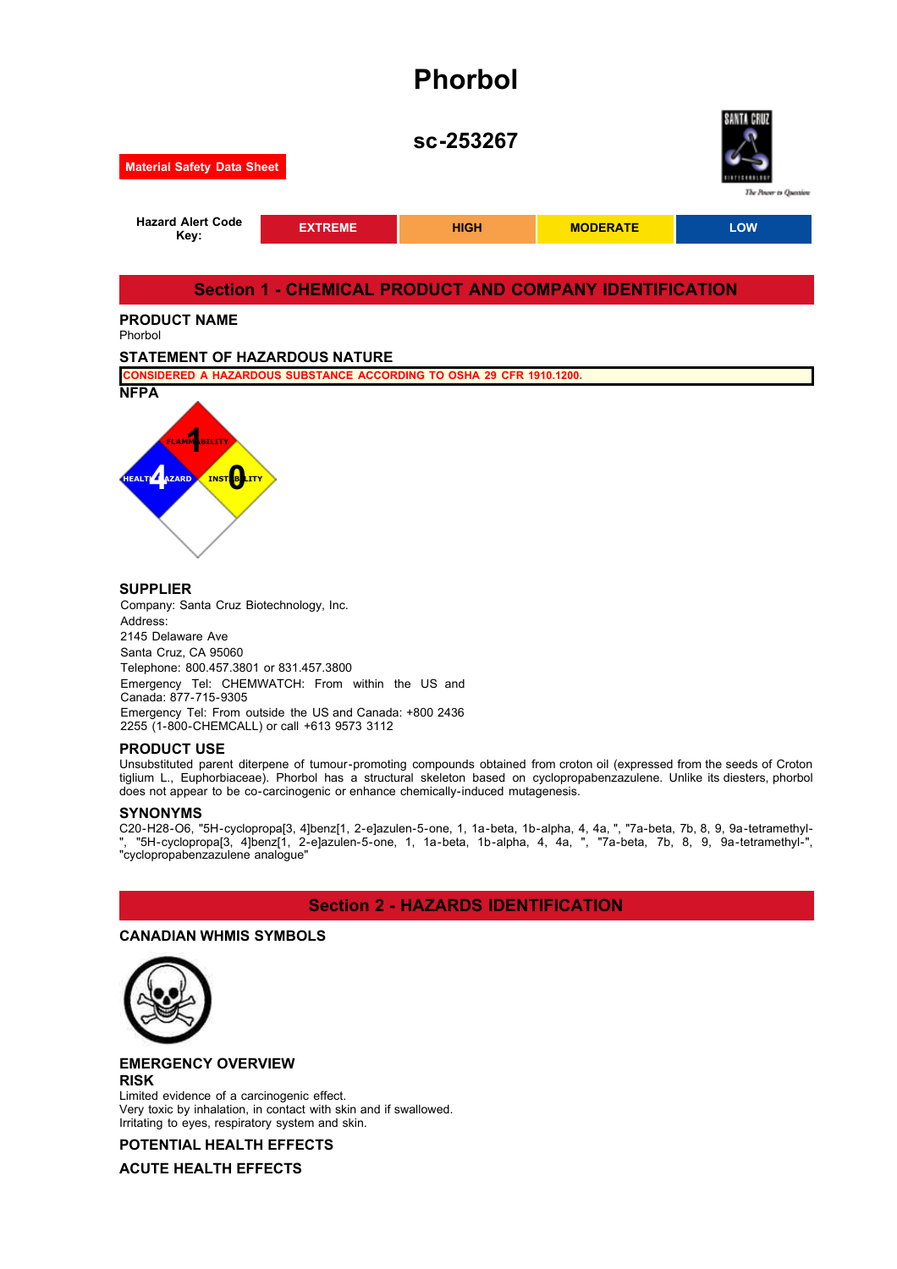# **Phorbol**



Company: Santa Cruz Biotechnology, Inc. Address: 2145 Delaware Ave Santa Cruz, CA 95060 Telephone: 800.457.3801 or 831.457.3800 Emergency Tel: CHEMWATCH: From within the US and Canada: 877-715-9305 Emergency Tel: From outside the US and Canada: +800 2436 2255 (1-800-CHEMCALL) or call +613 9573 3112

#### **PRODUCT USE**

Unsubstituted parent diterpene of tumour-promoting compounds obtained from croton oil (expressed from the seeds of Croton tiglium L., Euphorbiaceae). Phorbol has a structural skeleton based on cyclopropabenzazulene. Unlike its diesters, phorbol does not appear to be co-carcinogenic or enhance chemically-induced mutagenesis.

#### **SYNONYMS**

C20-H28-O6, "5H-cyclopropa[3, 4]benz[1, 2-e]azulen-5-one, 1, 1a-beta, 1b-alpha, 4, 4a, ", "7a-beta, 7b, 8, 9, 9a-tetramethyl- ", "5H-cyclopropa[3, 4]benz[1, 2-e]azulen-5-one, 1, 1a-beta, 1b-alpha, 4, 4a, ", "7a-beta, 7b, 8, 9, 9a-tetramethyl-", "cyclopropabenzazulene analogue"

## **Section 2 - HAZARDS IDENTIFICATION**

## **CANADIAN WHMIS SYMBOLS**



**EMERGENCY OVERVIEW RISK**

Limited evidence of a carcinogenic effect. Very toxic by inhalation, in contact with skin and if swallowed. Irritating to eyes, respiratory system and skin.

## **POTENTIAL HEALTH EFFECTS**

**ACUTE HEALTH EFFECTS**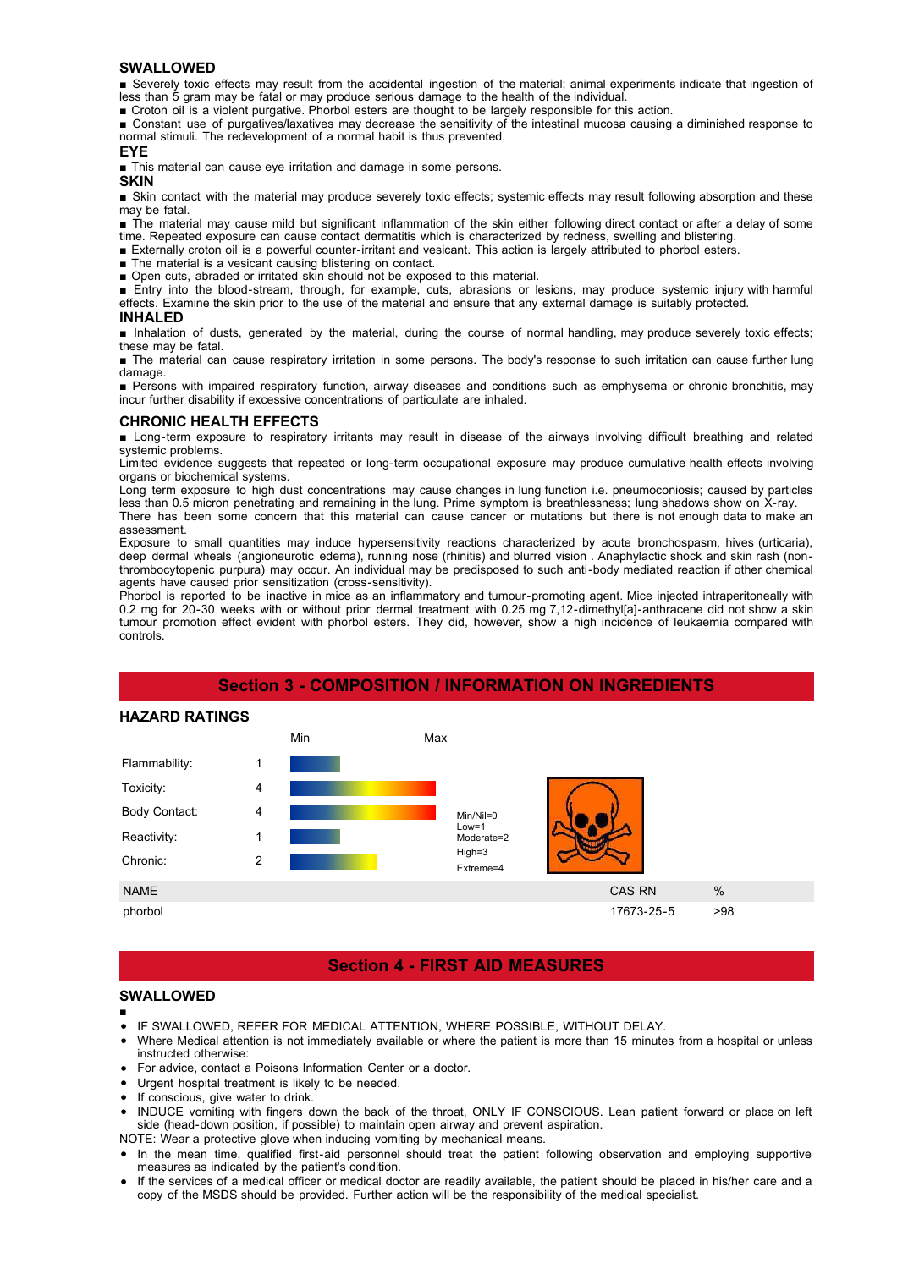#### **SWALLOWED**

■ Severely toxic effects may result from the accidental ingestion of the material; animal experiments indicate that ingestion of less than 5 gram may be fatal or may produce serious damage to the health of the individual.

■ Croton oil is a violent purgative. Phorbol esters are thought to be largely responsible for this action.

■ Constant use of purgatives/laxatives may decrease the sensitivity of the intestinal mucosa causing a diminished response to normal stimuli. The redevelopment of a normal habit is thus prevented.

#### **EYE**

■ This material can cause eye irritation and damage in some persons.

#### **SKIN**

■ Skin contact with the material may produce severely toxic effects; systemic effects may result following absorption and these may be fatal.

■ The material may cause mild but significant inflammation of the skin either following direct contact or after a delay of some time. Repeated exposure can cause contact dermatitis which is characterized by redness, swelling and blistering.

- Externally croton oil is a powerful counter-irritant and vesicant. This action is largely attributed to phorbol esters.
- The material is a vesicant causing blistering on contact.
- Open cuts, abraded or irritated skin should not be exposed to this material.

■ Entry into the blood-stream, through, for example, cuts, abrasions or lesions, may produce systemic injury with harmful effects. Examine the skin prior to the use of the material and ensure that any external damage is suitably protected.

#### **INHALED**

■ Inhalation of dusts, generated by the material, during the course of normal handling, may produce severely toxic effects; these may be fatal.

■ The material can cause respiratory irritation in some persons. The body's response to such irritation can cause further lung damage.

■ Persons with impaired respiratory function, airway diseases and conditions such as emphysema or chronic bronchitis, may incur further disability if excessive concentrations of particulate are inhaled.

#### **CHRONIC HEALTH EFFECTS**

■ Long-term exposure to respiratory irritants may result in disease of the airways involving difficult breathing and related systemic problems.

Limited evidence suggests that repeated or long-term occupational exposure may produce cumulative health effects involving organs or biochemical systems.

Long term exposure to high dust concentrations may cause changes in lung function i.e. pneumoconiosis; caused by particles less than 0.5 micron penetrating and remaining in the lung. Prime symptom is breathlessness; lung shadows show on X-ray. There has been some concern that this material can cause cancer or mutations but there is not enough data to make an assessment.

Exposure to small quantities may induce hypersensitivity reactions characterized by acute bronchospasm, hives (urticaria), deep dermal wheals (angioneurotic edema), running nose (rhinitis) and blurred vision . Anaphylactic shock and skin rash (nonthrombocytopenic purpura) may occur. An individual may be predisposed to such anti-body mediated reaction if other chemical agents have caused prior sensitization (cross-sensitivity).

Phorbol is reported to be inactive in mice as an inflammatory and tumour-promoting agent. Mice injected intraperitoneally with 0.2 mg for 20-30 weeks with or without prior dermal treatment with 0.25 mg 7,12-dimethyl[a]-anthracene did not show a skin tumour promotion effect evident with phorbol esters. They did, however, show a high incidence of leukaemia compared with controls.

## **Section 3 - COMPOSITION / INFORMATION ON INGREDIENTS**

#### **HAZARD RATINGS**



## **Section 4 - FIRST AID MEASURES**

## **SWALLOWED**

- IF SWALLOWED, REFER FOR MEDICAL ATTENTION, WHERE POSSIBLE, WITHOUT DELAY.
- Where Medical attention is not immediately available or where the patient is more than 15 minutes from a hospital or unless instructed otherwise:
- For advice, contact a Poisons Information Center or a doctor.
- Urgent hospital treatment is likely to be needed.
- If conscious, give water to drink.
- INDUCE vomiting with fingers down the back of the throat, ONLY IF CONSCIOUS. Lean patient forward or place on left side (head-down position, if possible) to maintain open airway and prevent aspiration.
- NOTE: Wear a protective glove when inducing vomiting by mechanical means.
- In the mean time, qualified first-aid personnel should treat the patient following observation and employing supportive measures as indicated by the patient's condition.
- If the services of a medical officer or medical doctor are readily available, the patient should be placed in his/her care and a copy of the MSDS should be provided. Further action will be the responsibility of the medical specialist.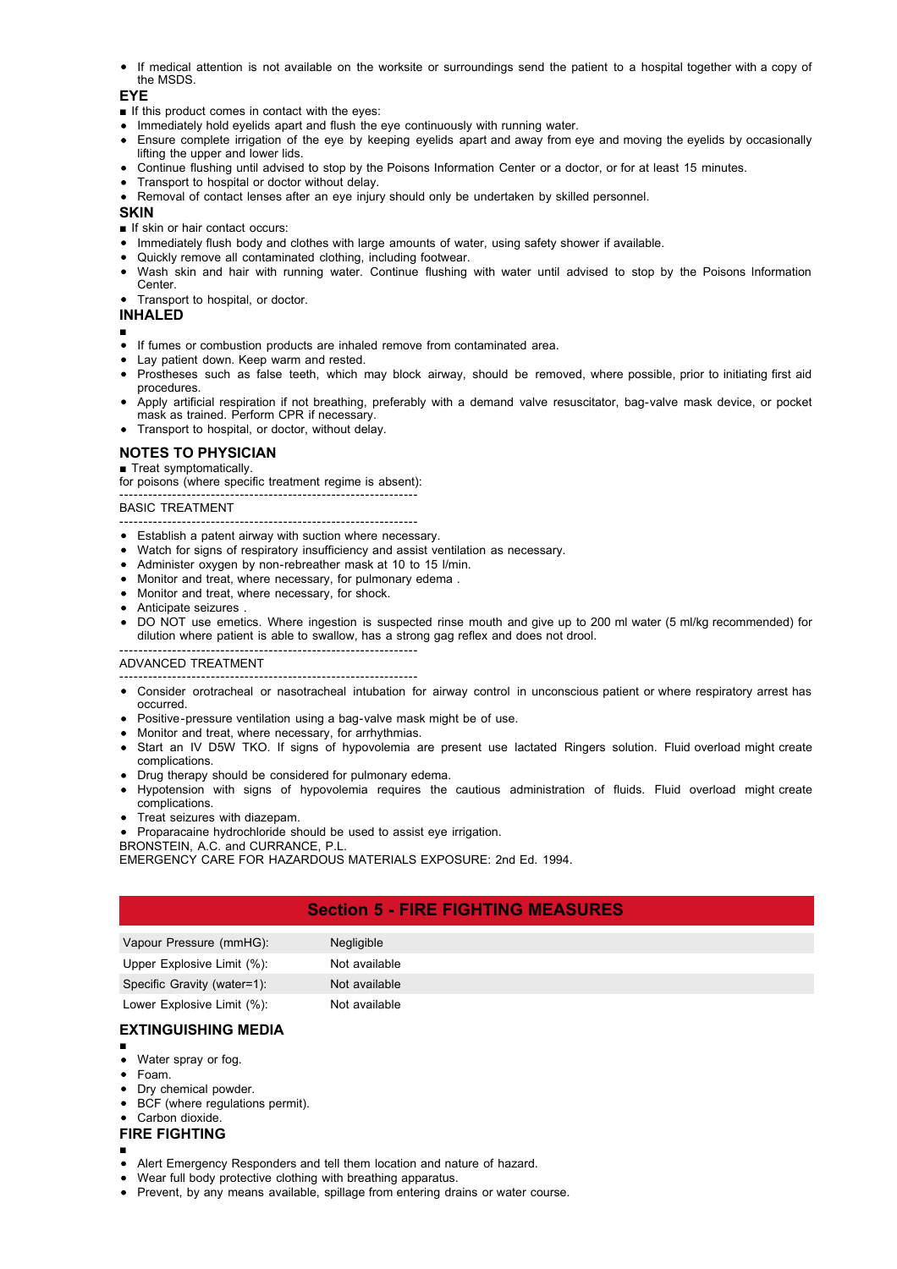If medical attention is not available on the worksite or surroundings send the patient to a hospital together with a copy of the MSDS.

#### **EYE**

- If this product comes in contact with the eyes:
- Immediately hold eyelids apart and flush the eye continuously with running water.
- Ensure complete irrigation of the eye by keeping eyelids apart and away from eye and moving the eyelids by occasionally lifting the upper and lower lids.
- Continue flushing until advised to stop by the Poisons Information Center or a doctor, or for at least 15 minutes.
- Transport to hospital or doctor without delay.
- Removal of contact lenses after an eye injury should only be undertaken by skilled personnel.

#### **SKIN**

- If skin or hair contact occurs:
- Immediately flush body and clothes with large amounts of water, using safety shower if available.
- Quickly remove all contaminated clothing, including footwear.
- Wash skin and hair with running water. Continue flushing with water until advised to stop by the Poisons Information Center.
- Transport to hospital, or doctor.

#### **INHALED**

- ■
- If fumes or combustion products are inhaled remove from contaminated area.
- Lay patient down. Keep warm and rested.
- Prostheses such as false teeth, which may block airway, should be removed, where possible, prior to initiating first aid procedures.
- Apply artificial respiration if not breathing, preferably with a demand valve resuscitator, bag-valve mask device, or pocket mask as trained. Perform CPR if necessary.
- Transport to hospital, or doctor, without delay.

#### **NOTES TO PHYSICIAN**

#### ■ Treat symptomatically.

for poisons (where specific treatment regime is absent):

#### -------------------------------------------------------------- BASIC TREATMENT

- --------------------------------------------------------------
- Establish a patent airway with suction where necessary.
- Watch for signs of respiratory insufficiency and assist ventilation as necessary.
- Administer oxygen by non-rebreather mask at 10 to 15 l/min.
- Monitor and treat, where necessary, for pulmonary edema .
- Monitor and treat, where necessary, for shock.
- Anticipate seizures .
- DO NOT use emetics. Where ingestion is suspected rinse mouth and give up to 200 ml water (5 ml/kg recommended) for dilution where patient is able to swallow, has a strong gag reflex and does not drool.

#### -------------------------------------------------------------- ADVANCED TREATMENT

- --------------------------------------------------------------
- Consider orotracheal or nasotracheal intubation for airway control in unconscious patient or where respiratory arrest has occurred.
- Positive-pressure ventilation using a bag-valve mask might be of use.
- Monitor and treat, where necessary, for arrhythmias.
- Start an IV D5W TKO. If signs of hypovolemia are present use lactated Ringers solution. Fluid overload might create complications.
- Drug therapy should be considered for pulmonary edema.
- Hypotension with signs of hypovolemia requires the cautious administration of fluids. Fluid overload might create complications.
- Treat seizures with diazepam.
- Proparacaine hydrochloride should be used to assist eye irrigation.

#### BRONSTEIN, A.C. and CURRANCE, P.L.

EMERGENCY CARE FOR HAZARDOUS MATERIALS EXPOSURE: 2nd Ed. 1994.

## **Section 5 - FIRE FIGHTING MEASURES**

| Vapour Pressure (mmHG):     | <b>Negligible</b> |
|-----------------------------|-------------------|
| Upper Explosive Limit (%):  | Not available     |
| Specific Gravity (water=1): | Not available     |
| Lower Explosive Limit (%):  | Not available     |

## **EXTINGUISHING MEDIA**

- ■
- Water spray or fog.
- Foam.
- Dry chemical powder.
- BCF (where regulations permit).
- Carbon dioxide.
- **FIRE FIGHTING**
- ■
- Alert Emergency Responders and tell them location and nature of hazard.
- Wear full body protective clothing with breathing apparatus.
- Prevent, by any means available, spillage from entering drains or water course.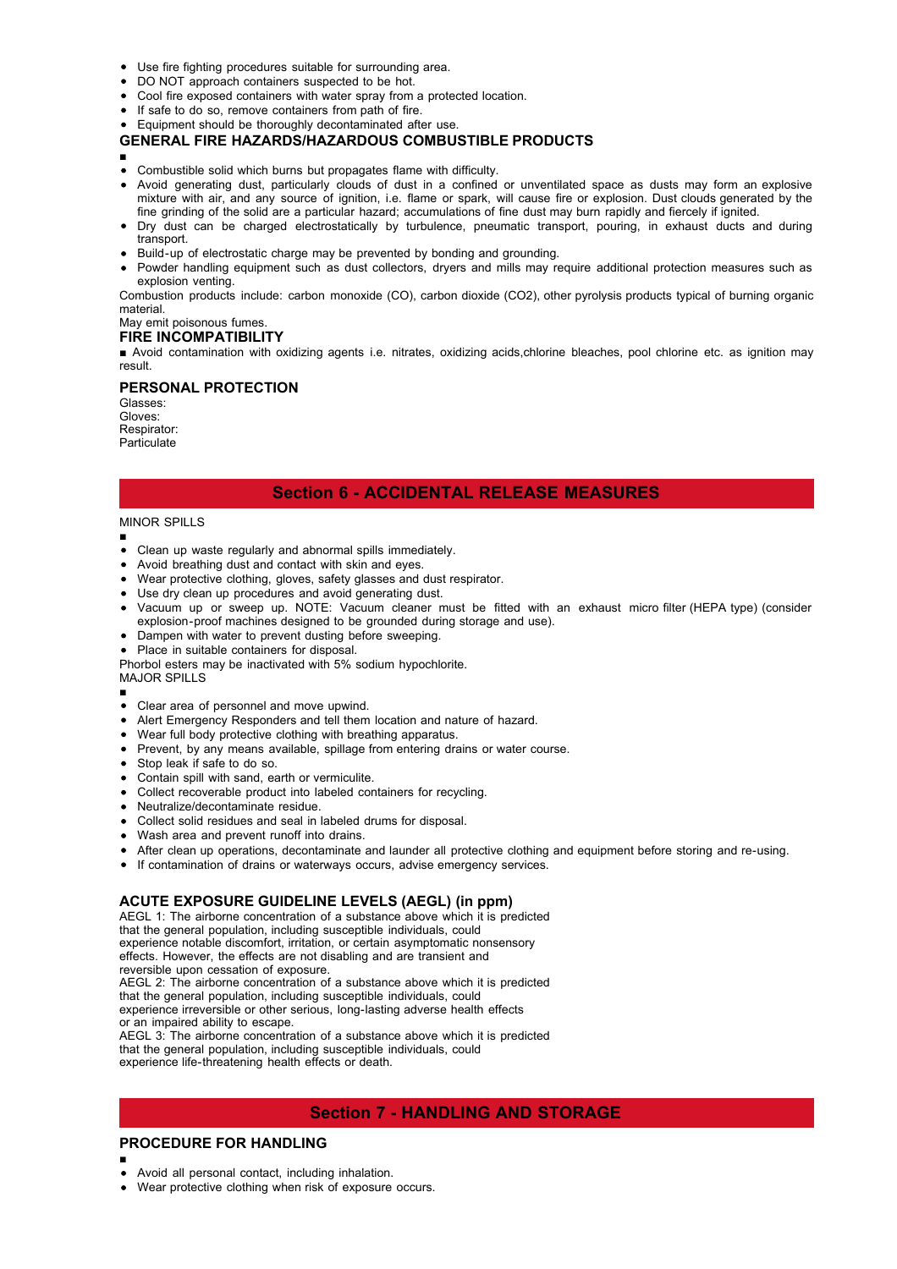- Use fire fighting procedures suitable for surrounding area.
- DO NOT approach containers suspected to be hot.
- Cool fire exposed containers with water spray from a protected location.
- If safe to do so, remove containers from path of fire.
- Equipment should be thoroughly decontaminated after use.

#### **GENERAL FIRE HAZARDS/HAZARDOUS COMBUSTIBLE PRODUCTS**

- ■
- Combustible solid which burns but propagates flame with difficulty.
- Avoid generating dust, particularly clouds of dust in a confined or unventilated space as dusts may form an explosive mixture with air, and any source of ignition, i.e. flame or spark, will cause fire or explosion. Dust clouds generated by the fine grinding of the solid are a particular hazard; accumulations of fine dust may burn rapidly and fiercely if ignited.
- Dry dust can be charged electrostatically by turbulence, pneumatic transport, pouring, in exhaust ducts and during transport
- Build-up of electrostatic charge may be prevented by bonding and grounding.
- Powder handling equipment such as dust collectors, dryers and mills may require additional protection measures such as explosion venting.

Combustion products include: carbon monoxide (CO), carbon dioxide (CO2), other pyrolysis products typical of burning organic material.

# May emit poisonous fumes.

**FIRE INCOMPATIBILITY**

■ Avoid contamination with oxidizing agents i.e. nitrates, oxidizing acids,chlorine bleaches, pool chlorine etc. as ignition may result.

#### **PERSONAL PROTECTION**

Glasses: Gloves: Respirator: Particulate

## **Section 6 - ACCIDENTAL RELEASE MEASURES**

## MINOR SPILLS

■

■

- Clean up waste regularly and abnormal spills immediately.
- Avoid breathing dust and contact with skin and eyes.
- Wear protective clothing, gloves, safety glasses and dust respirator.
- Use dry clean up procedures and avoid generating dust.
- Vacuum up or sweep up. NOTE: Vacuum cleaner must be fitted with an exhaust micro filter (HEPA type) (consider explosion-proof machines designed to be grounded during storage and use).
- Dampen with water to prevent dusting before sweeping.
- Place in suitable containers for disposal.

Phorbol esters may be inactivated with 5% sodium hypochlorite.

MAJOR SPILLS

- Clear area of personnel and move upwind.
- Alert Emergency Responders and tell them location and nature of hazard.
- Wear full body protective clothing with breathing apparatus.
- Prevent, by any means available, spillage from entering drains or water course.
- Stop leak if safe to do so.
- Contain spill with sand, earth or vermiculite.
- Collect recoverable product into labeled containers for recycling.
- Neutralize/decontaminate residue.
- Collect solid residues and seal in labeled drums for disposal.
- Wash area and prevent runoff into drains.
- After clean up operations, decontaminate and launder all protective clothing and equipment before storing and re-using.
- If contamination of drains or waterways occurs, advise emergency services.

## **ACUTE EXPOSURE GUIDELINE LEVELS (AEGL) (in ppm)**

AEGL 1: The airborne concentration of a substance above which it is predicted that the general population, including susceptible individuals, could experience notable discomfort, irritation, or certain asymptomatic nonsensory effects. However, the effects are not disabling and are transient and reversible upon cessation of exposure. AEGL 2: The airborne concentration of a substance above which it is predicted that the general population, including susceptible individuals, could experience irreversible or other serious, long-lasting adverse health effects or an impaired ability to escape.

AEGL 3: The airborne concentration of a substance above which it is predicted that the general population, including susceptible individuals, could experience life-threatening health effects or death.

## **Section 7 - HANDLING AND STORAGE**

## **PROCEDURE FOR HANDLING**

- ■
- Avoid all personal contact, including inhalation.
- Wear protective clothing when risk of exposure occurs.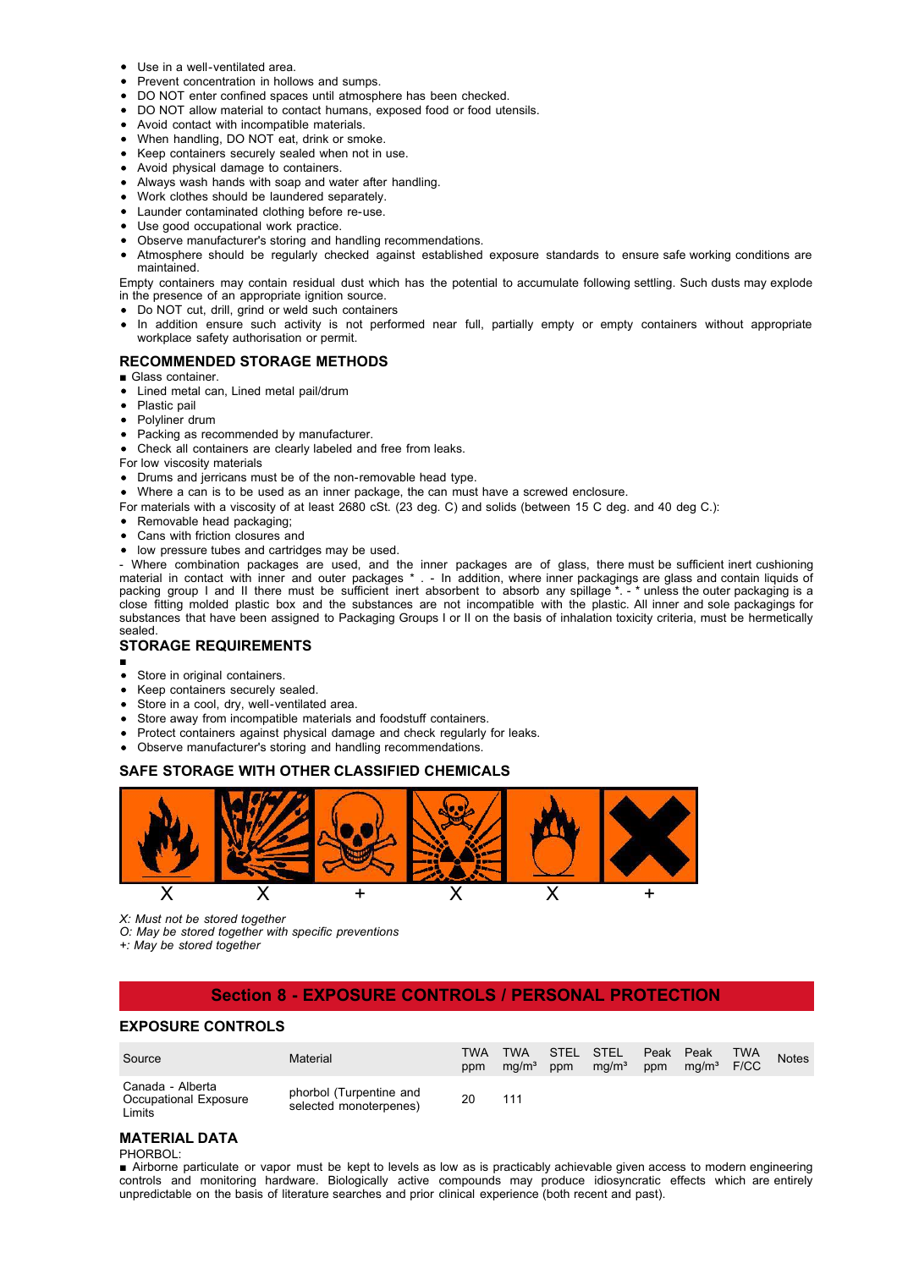- Use in a well-ventilated area.
- Prevent concentration in hollows and sumps.
- DO NOT enter confined spaces until atmosphere has been checked.
- DO NOT allow material to contact humans, exposed food or food utensils.
- Avoid contact with incompatible materials.
- When handling, DO NOT eat, drink or smoke.
- Keep containers securely sealed when not in use.
- Avoid physical damage to containers.
- Always wash hands with soap and water after handling.
- Work clothes should be laundered separately.
- Launder contaminated clothing before re-use.
- Use good occupational work practice.
- Observe manufacturer's storing and handling recommendations.
- Atmosphere should be regularly checked against established exposure standards to ensure safe working conditions are maintained.

Empty containers may contain residual dust which has the potential to accumulate following settling. Such dusts may explode in the presence of an appropriate ignition source.

Do NOT cut, drill, grind or weld such containers

• In addition ensure such activity is not performed near full, partially empty or empty containers without appropriate workplace safety authorisation or permit.

#### **RECOMMENDED STORAGE METHODS**

- Glass container
- Lined metal can, Lined metal pail/drum
- Plastic pail
- Polyliner drum
- Packing as recommended by manufacturer.
- Check all containers are clearly labeled and free from leaks.

For low viscosity materials

- Drums and jerricans must be of the non-removable head type.
- Where a can is to be used as an inner package, the can must have a screwed enclosure.
- For materials with a viscosity of at least 2680 cSt. (23 deg. C) and solids (between 15 C deg. and 40 deg C.):
- Removable head packaging:
- Cans with friction closures and
- low pressure tubes and cartridges may be used.

- Where combination packages are used, and the inner packages are of glass, there must be sufficient inert cushioning material in contact with inner and outer packages \* . - In addition, where inner packagings are glass and contain liquids of packing group I and II there must be sufficient inert absorbent to absorb any spillage \*. - \* unless the outer packaging is a close fitting molded plastic box and the substances are not incompatible with the plastic. All inner and sole packagings for substances that have been assigned to Packaging Groups I or II on the basis of inhalation toxicity criteria, must be hermetically sealed.

#### **STORAGE REQUIREMENTS**

- ■
- 
- Store in original containers.  $\bullet$ Keep containers securely sealed.
- Store in a cool, dry, well-ventilated area.
- Store away from incompatible materials and foodstuff containers.
- Protect containers against physical damage and check regularly for leaks.
- Observe manufacturer's storing and handling recommendations.

#### **SAFE STORAGE WITH OTHER CLASSIFIED CHEMICALS**



*X: Must not be stored together*

*O: May be stored together with specific preventions*

*+: May be stored together*

## **Section 8 - EXPOSURE CONTROLS / PERSONAL PROTECTION**

#### **EXPOSURE CONTROLS**

| Source                                              | Material                                          | TWA<br>ppm | <b>TWA</b><br>ma/m <sup>3</sup> | ppm | STEL STEL<br>mq/m <sup>3</sup> | Peak Peak<br>ppm | ma/m <sup>3</sup> | TWA<br>F/CC | <b>Notes</b> |
|-----------------------------------------------------|---------------------------------------------------|------------|---------------------------------|-----|--------------------------------|------------------|-------------------|-------------|--------------|
| Canada - Alberta<br>Occupational Exposure<br>Limits | phorbol (Turpentine and<br>selected monoterpenes) | 20         | 111                             |     |                                |                  |                   |             |              |

## **MATERIAL DATA**

#### PHORBOL:

■ Airborne particulate or vapor must be kept to levels as low as is practicably achievable given access to modern engineering controls and monitoring hardware. Biologically active compounds may produce idiosyncratic effects which are entirely unpredictable on the basis of literature searches and prior clinical experience (both recent and past).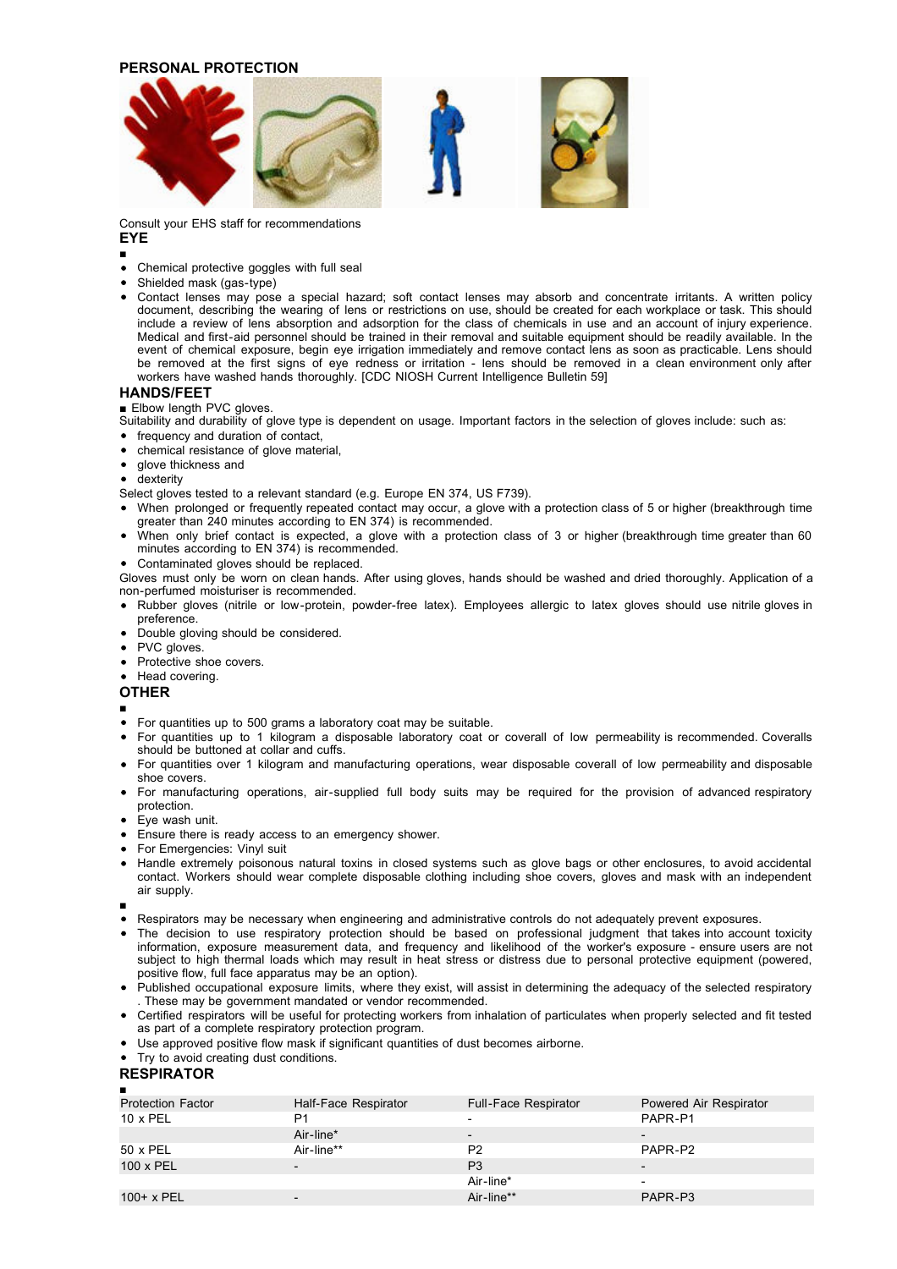#### **PERSONAL PROTECTION**



Consult your EHS staff for recommendations

#### **EYE** ■

- Chemical protective goggles with full seal
- Shielded mask (gas-type)
- Contact lenses may pose a special hazard; soft contact lenses may absorb and concentrate irritants. A written policy document, describing the wearing of lens or restrictions on use, should be created for each workplace or task. This should include a review of lens absorption and adsorption for the class of chemicals in use and an account of injury experience. Medical and first-aid personnel should be trained in their removal and suitable equipment should be readily available. In the event of chemical exposure, begin eye irrigation immediately and remove contact lens as soon as practicable. Lens should be removed at the first signs of eye redness or irritation - lens should be removed in a clean environment only after workers have washed hands thoroughly. [CDC NIOSH Current Intelligence Bulletin 59]

#### **HANDS/FEET**

■ Elbow length PVC gloves

- Suitability and durability of glove type is dependent on usage. Important factors in the selection of gloves include: such as:
- frequency and duration of contact,
- chemical resistance of glove material,
- glove thickness and
- **•** dexterity
- Select gloves tested to a relevant standard (e.g. Europe EN 374, US F739).
- When prolonged or frequently repeated contact may occur, a glove with a protection class of 5 or higher (breakthrough time greater than 240 minutes according to EN 374) is recommended.
- When only brief contact is expected, a glove with a protection class of 3 or higher (breakthrough time greater than 60 minutes according to EN 374) is recommended.
- Contaminated gloves should be replaced.
- Gloves must only be worn on clean hands. After using gloves, hands should be washed and dried thoroughly. Application of a non-perfumed moisturiser is recommended.
- Rubber gloves (nitrile or low-protein, powder-free latex). Employees allergic to latex gloves should use nitrile gloves in preference.
- Double gloving should be considered.
- PVC gloves.
- Protective shoe covers.
- Head covering.

#### **OTHER**

#### ■

- For quantities up to 500 grams a laboratory coat may be suitable.
- For quantities up to 1 kilogram a disposable laboratory coat or coverall of low permeability is recommended. Coveralls should be buttoned at collar and cuffs.
- For quantities over 1 kilogram and manufacturing operations, wear disposable coverall of low permeability and disposable shoe covers.
- For manufacturing operations, air-supplied full body suits may be required for the provision of advanced respiratory protection.
- Eye wash unit.
- Ensure there is ready access to an emergency shower.
- For Emergencies: Vinyl suit
- Handle extremely poisonous natural toxins in closed systems such as glove bags or other enclosures, to avoid accidental contact. Workers should wear complete disposable clothing including shoe covers, gloves and mask with an independent air supply.
- ■
- Respirators may be necessary when engineering and administrative controls do not adequately prevent exposures.
- The decision to use respiratory protection should be based on professional judgment that takes into account toxicity information, exposure measurement data, and frequency and likelihood of the worker's exposure - ensure users are not subject to high thermal loads which may result in heat stress or distress due to personal protective equipment (powered, positive flow, full face apparatus may be an option).
- Published occupational exposure limits, where they exist, will assist in determining the adequacy of the selected respiratory . These may be government mandated or vendor recommended.
- Certified respirators will be useful for protecting workers from inhalation of particulates when properly selected and fit tested as part of a complete respiratory protection program.
- Use approved positive flow mask if significant quantities of dust becomes airborne.
- Try to avoid creating dust conditions.

## **RESPIRATOR**

| п                        |                      |                      |                          |
|--------------------------|----------------------|----------------------|--------------------------|
| <b>Protection Factor</b> | Half-Face Respirator | Full-Face Respirator | Powered Air Respirator   |
| $10 \times PEL$          | P1                   | -                    | PAPR-P1                  |
|                          | Air-line*            |                      |                          |
| 50 x PEL                 | Air-line**           | P <sub>2</sub>       | PAPR-P2                  |
| $100 \times PEL$         |                      | P <sub>3</sub>       | $\overline{\phantom{0}}$ |
|                          |                      | Air-line*            | $\overline{\phantom{a}}$ |
| $100+ x$ PEL             |                      | Air-line**           | PAPR-P3                  |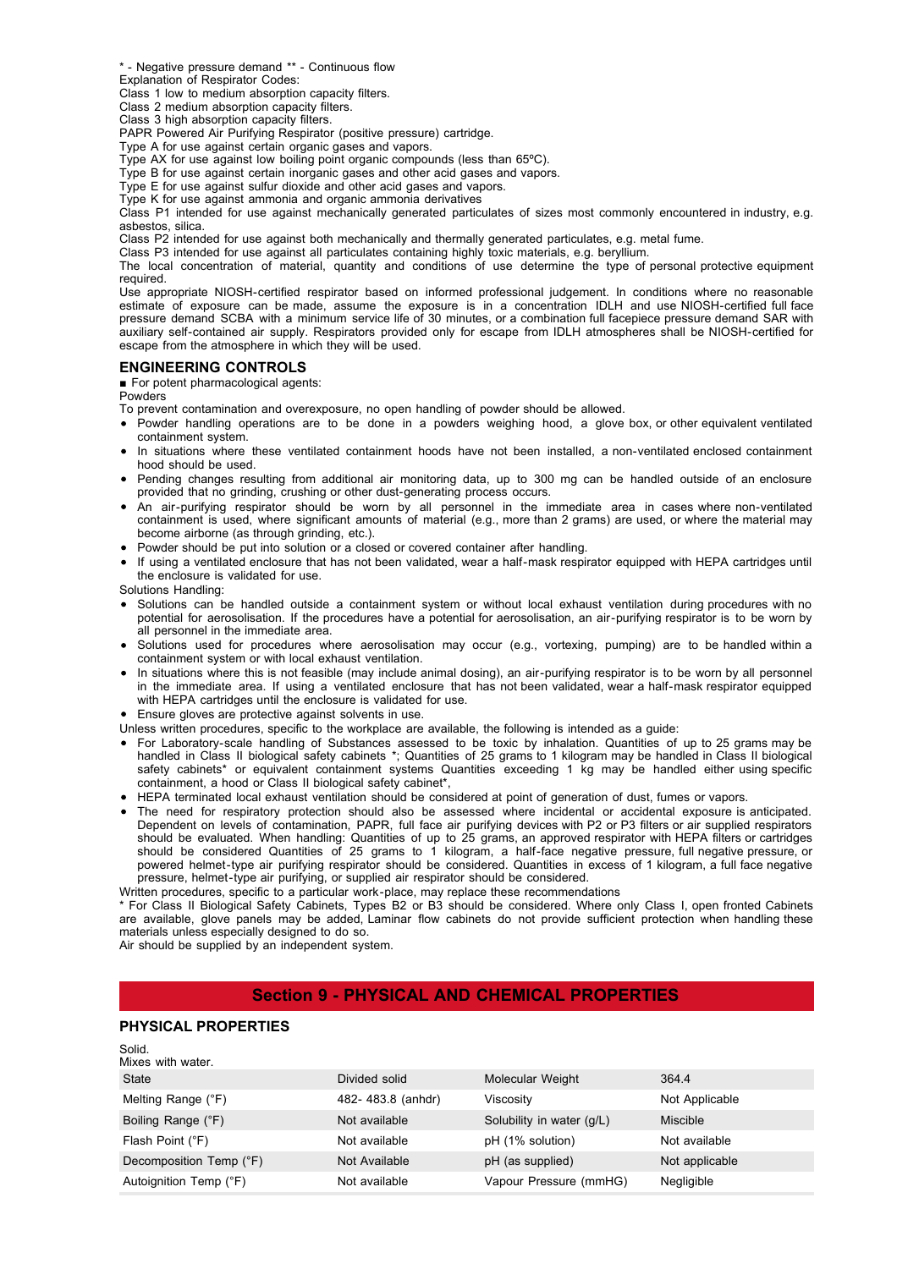\* - Negative pressure demand \*\* - Continuous flow

Explanation of Respirator Codes:

Class 1 low to medium absorption capacity filters.

Class 2 medium absorption capacity filters.

Class 3 high absorption capacity filters.

PAPR Powered Air Purifying Respirator (positive pressure) cartridge.

Type A for use against certain organic gases and vapors.

Type AX for use against low boiling point organic compounds (less than 65ºC).

Type B for use against certain inorganic gases and other acid gases and vapors.

Type E for use against sulfur dioxide and other acid gases and vapors.

Type K for use against ammonia and organic ammonia derivatives

Class P1 intended for use against mechanically generated particulates of sizes most commonly encountered in industry, e.g. asbestos, silica.

Class P2 intended for use against both mechanically and thermally generated particulates, e.g. metal fume.

Class P3 intended for use against all particulates containing highly toxic materials, e.g. beryllium.

The local concentration of material, quantity and conditions of use determine the type of personal protective equipment required.

Use appropriate NIOSH-certified respirator based on informed professional judgement. In conditions where no reasonable estimate of exposure can be made, assume the exposure is in a concentration IDLH and use NIOSH-certified full face pressure demand SCBA with a minimum service life of 30 minutes, or a combination full facepiece pressure demand SAR with auxiliary self-contained air supply. Respirators provided only for escape from IDLH atmospheres shall be NIOSH-certified for escape from the atmosphere in which they will be used.

#### **ENGINEERING CONTROLS**

■ For potent pharmacological agents:

Powders

To prevent contamination and overexposure, no open handling of powder should be allowed.

- Powder handling operations are to be done in a powders weighing hood, a glove box, or other equivalent ventilated containment system.
- In situations where these ventilated containment hoods have not been installed, a non-ventilated enclosed containment hood should be used.
- Pending changes resulting from additional air monitoring data, up to 300 mg can be handled outside of an enclosure provided that no grinding, crushing or other dust-generating process occurs.
- An air-purifying respirator should be worn by all personnel in the immediate area in cases where non-ventilated containment is used, where significant amounts of material (e.g., more than 2 grams) are used, or where the material may become airborne (as through grinding, etc.).
- Powder should be put into solution or a closed or covered container after handling.
- If using a ventilated enclosure that has not been validated, wear a half-mask respirator equipped with HEPA cartridges until the enclosure is validated for use.

Solutions Handling:

- Solutions can be handled outside a containment system or without local exhaust ventilation during procedures with no potential for aerosolisation. If the procedures have a potential for aerosolisation, an air-purifying respirator is to be worn by all personnel in the immediate area.
- Solutions used for procedures where aerosolisation may occur (e.g., vortexing, pumping) are to be handled within a containment system or with local exhaust ventilation.
- In situations where this is not feasible (may include animal dosing), an air-purifying respirator is to be worn by all personnel in the immediate area. If using a ventilated enclosure that has not been validated, wear a half-mask respirator equipped with HEPA cartridges until the enclosure is validated for use.
- Ensure gloves are protective against solvents in use.
- Unless written procedures, specific to the workplace are available, the following is intended as a guide:
- For Laboratory-scale handling of Substances assessed to be toxic by inhalation. Quantities of up to 25 grams may be handled in Class II biological safety cabinets \*; Quantities of 25 grams to 1 kilogram may be handled in Class II biological safety cabinets<sup>\*</sup> or equivalent containment systems Quantities exceeding 1 kg may be handled either using specific containment, a hood or Class II biological safety cabinet\*,
- HEPA terminated local exhaust ventilation should be considered at point of generation of dust, fumes or vapors.
- The need for respiratory protection should also be assessed where incidental or accidental exposure is anticipated. Dependent on levels of contamination, PAPR, full face air purifying devices with P2 or P3 filters or air supplied respirators should be evaluated. When handling: Quantities of up to 25 grams, an approved respirator with HEPA filters or cartridges should be considered Quantities of 25 grams to 1 kilogram, a half-face negative pressure, full negative pressure, or powered helmet-type air purifying respirator should be considered. Quantities in excess of 1 kilogram, a full face negative pressure, helmet-type air purifying, or supplied air respirator should be considered.

Written procedures, specific to a particular work-place, may replace these recommendations

\* For Class II Biological Safety Cabinets, Types B2 or B3 should be considered. Where only Class I, open fronted Cabinets are available, glove panels may be added, Laminar flow cabinets do not provide sufficient protection when handling these materials unless especially designed to do so.

Air should be supplied by an independent system.

## **Section 9 - PHYSICAL AND CHEMICAL PROPERTIES**

#### **PHYSICAL PROPERTIES**

| Solid.<br>Mixes with water. |                   |                           |                |
|-----------------------------|-------------------|---------------------------|----------------|
| State                       | Divided solid     | Molecular Weight          | 364.4          |
| Melting Range (°F)          | 482-483.8 (anhdr) | Viscosity                 | Not Applicable |
| Boiling Range (°F)          | Not available     | Solubility in water (g/L) | Miscible       |
| Flash Point (°F)            | Not available     | pH (1% solution)          | Not available  |
| Decomposition Temp (°F)     | Not Available     | pH (as supplied)          | Not applicable |
| Autoignition Temp (°F)      | Not available     | Vapour Pressure (mmHG)    | Negligible     |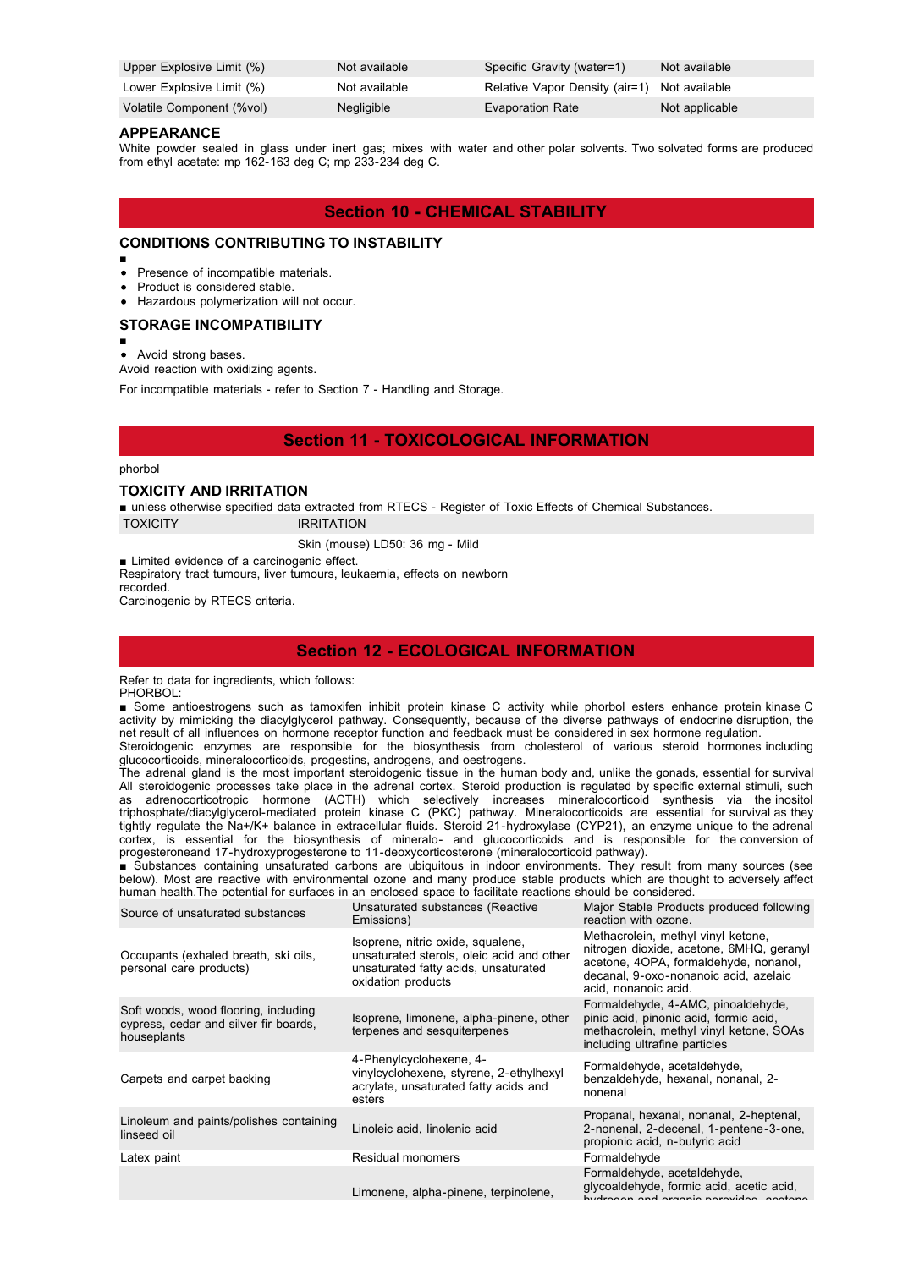| Upper Explosive Limit (%) | Not available | Specific Gravity (water=1)                   | Not available  |
|---------------------------|---------------|----------------------------------------------|----------------|
| Lower Explosive Limit (%) | Not available | Relative Vapor Density (air=1) Not available |                |
| Volatile Component (%vol) | Negligible    | <b>Evaporation Rate</b>                      | Not applicable |

#### **APPEARANCE**

White powder sealed in glass under inert gas; mixes with water and other polar solvents. Two solvated forms are produced from ethyl acetate: mp 162-163 deg C; mp 233-234 deg C.

## **Section 10 - CHEMICAL STABILITY**

## **CONDITIONS CONTRIBUTING TO INSTABILITY**

- ■
- Presence of incompatible materials.
- Product is considered stable.
- Hazardous polymerization will not occur.

#### **STORAGE INCOMPATIBILITY**

■

Avoid strong bases.  $\bullet$ 

Avoid reaction with oxidizing agents.

For incompatible materials - refer to Section 7 - Handling and Storage.

## **Section 11 - TOXICOLOGICAL INFORMATION**

#### phorbol

#### **TOXICITY AND IRRITATION**

■ unless otherwise specified data extracted from RTECS - Register of Toxic Effects of Chemical Substances.

TOXICITY **IRRITATION** 

Skin (mouse) LD50: 36 mg - Mild

■ Limited evidence of a carcinogenic effect. Respiratory tract tumours, liver tumours, leukaemia, effects on newborn recorded. Carcinogenic by RTECS criteria.

## **Section 12 - ECOLOGICAL INFORMATION**

Refer to data for ingredients, which follows: PHORBOL:

■ Some antioestrogens such as tamoxifen inhibit protein kinase C activity while phorbol esters enhance protein kinase C activity by mimicking the diacylglycerol pathway. Consequently, because of the diverse pathways of endocrine disruption, the net result of all influences on hormone receptor function and feedback must be considered in sex hormone regulation.

Steroidogenic enzymes are responsible for the biosynthesis from cholesterol of various steroid hormones including glucocorticoids, mineralocorticoids, progestins, androgens, and oestrogens.

The adrenal gland is the most important steroidogenic tissue in the human body and, unlike the gonads, essential for survival All steroidogenic processes take place in the adrenal cortex. Steroid production is regulated by specific external stimuli, such as adrenocorticotropic hormone (ACTH) which selectively increases mineralocorticoid synthesis via the inositol triphosphate/diacylglycerol-mediated protein kinase C (PKC) pathway. Mineralocorticoids are essential for survival as they tightly regulate the Na+/K+ balance in extracellular fluids. Steroid 21-hydroxylase (CYP21), an enzyme unique to the adrenal cortex, is essential for the biosynthesis of mineralo- and glucocorticoids and is responsible for the conversion of progesteroneand 17-hydroxyprogesterone to 11-deoxycorticosterone (mineralocorticoid pathway).

■ Substances containing unsaturated carbons are ubiquitous in indoor environments. They result from many sources (see below). Most are reactive with environmental ozone and many produce stable products which are thought to adversely affect human health.The potential for surfaces in an enclosed space to facilitate reactions should be considered.

| Source of unsaturated substances                                                             | Unsaturated substances (Reactive<br>Emissions)                                                                                               | Major Stable Products produced following<br>reaction with ozone.                                                                                                                         |
|----------------------------------------------------------------------------------------------|----------------------------------------------------------------------------------------------------------------------------------------------|------------------------------------------------------------------------------------------------------------------------------------------------------------------------------------------|
| Occupants (exhaled breath, ski oils,<br>personal care products)                              | Isoprene, nitric oxide, squalene,<br>unsaturated sterols, oleic acid and other<br>unsaturated fatty acids, unsaturated<br>oxidation products | Methacrolein, methyl vinyl ketone,<br>nitrogen dioxide, acetone, 6MHQ, geranyl<br>acetone, 4OPA, formaldehyde, nonanol,<br>decanal, 9-oxo-nonanoic acid, azelaic<br>acid, nonanoic acid. |
| Soft woods, wood flooring, including<br>cypress, cedar and silver fir boards,<br>houseplants | Isoprene, limonene, alpha-pinene, other<br>terpenes and sesquiterpenes                                                                       | Formaldehyde, 4-AMC, pinoaldehyde,<br>pinic acid, pinonic acid, formic acid,<br>methacrolein, methyl vinyl ketone, SOAs<br>including ultrafine particles                                 |
| Carpets and carpet backing                                                                   | 4-Phenylcyclohexene, 4-<br>vinylcyclohexene, styrene, 2-ethylhexyl<br>acrylate, unsaturated fatty acids and<br>esters                        | Formaldehyde, acetaldehyde,<br>benzaldehyde, hexanal, nonanal, 2-<br>nonenal                                                                                                             |
| Linoleum and paints/polishes containing<br>linseed oil                                       | Linoleic acid, linolenic acid                                                                                                                | Propanal, hexanal, nonanal, 2-heptenal,<br>2-nonenal, 2-decenal, 1-pentene-3-one,<br>propionic acid, n-butyric acid                                                                      |
| Latex paint                                                                                  | Residual monomers                                                                                                                            | Formaldehyde                                                                                                                                                                             |
|                                                                                              | Limonene, alpha-pinene, terpinolene,                                                                                                         | Formaldehyde, acetaldehyde,<br>glycoaldehyde, formic acid, acetic acid,<br>hudronon and organic norovidoo cootono                                                                        |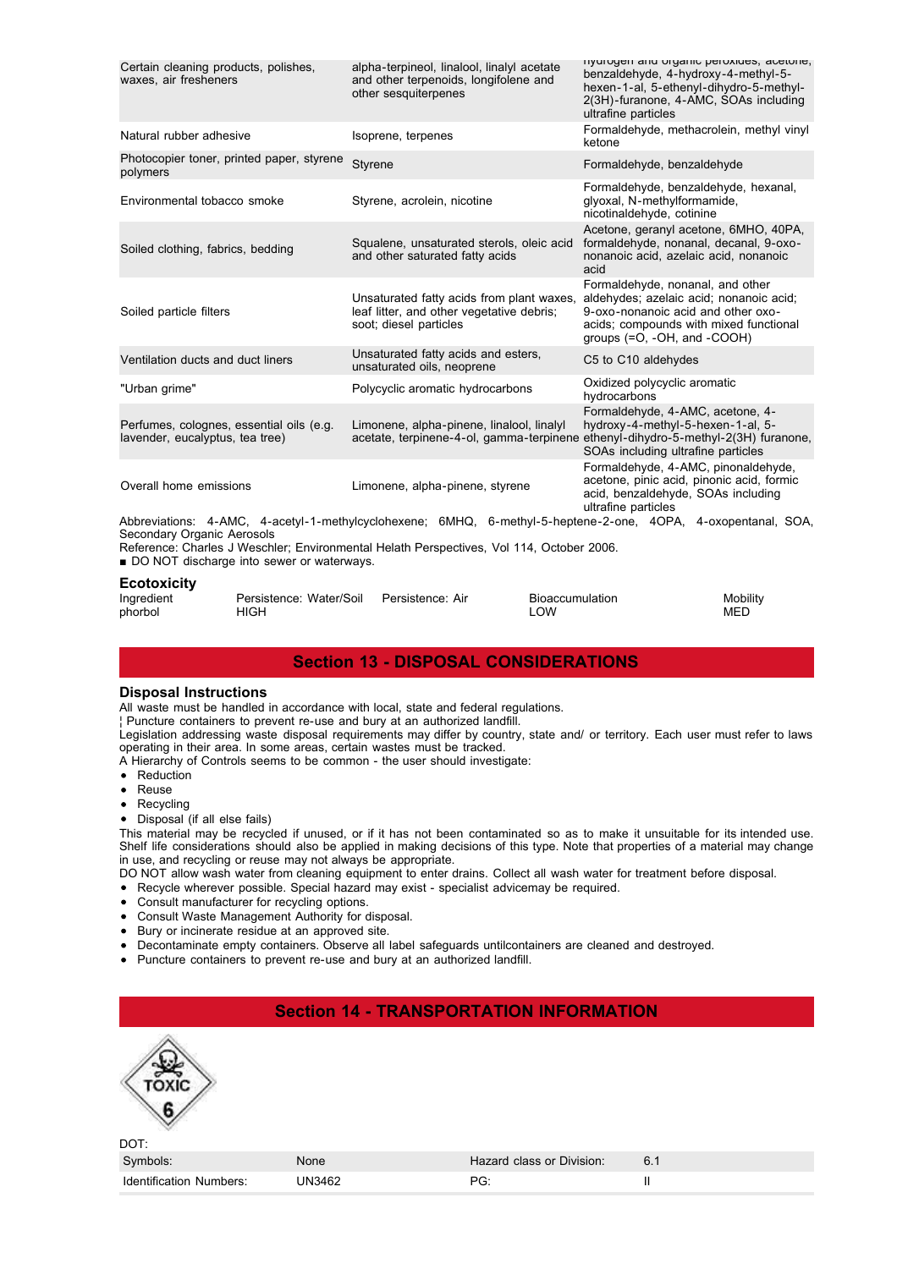| Certain cleaning products, polishes,<br>waxes, air fresheners                                                                                                                                                                           | alpha-terpineol, linalool, linalyl acetate<br>and other terpenoids, longifolene and<br>other sesquiterpenes      | rivurogen and organic peroxides, acetone,<br>benzaldehyde, 4-hydroxy-4-methyl-5-<br>hexen-1-al, 5-ethenyl-dihydro-5-methyl-<br>2(3H)-furanone, 4-AMC, SOAs including<br>ultrafine particles |  |  |  |
|-----------------------------------------------------------------------------------------------------------------------------------------------------------------------------------------------------------------------------------------|------------------------------------------------------------------------------------------------------------------|---------------------------------------------------------------------------------------------------------------------------------------------------------------------------------------------|--|--|--|
| Natural rubber adhesive                                                                                                                                                                                                                 | Isoprene, terpenes                                                                                               | Formaldehyde, methacrolein, methyl vinyl<br>ketone                                                                                                                                          |  |  |  |
| Photocopier toner, printed paper, styrene<br>polymers                                                                                                                                                                                   | Styrene                                                                                                          | Formaldehyde, benzaldehyde                                                                                                                                                                  |  |  |  |
| Environmental tobacco smoke                                                                                                                                                                                                             | Styrene, acrolein, nicotine                                                                                      | Formaldehyde, benzaldehyde, hexanal,<br>glyoxal, N-methylformamide,<br>nicotinaldehyde, cotinine                                                                                            |  |  |  |
| Soiled clothing, fabrics, bedding                                                                                                                                                                                                       | Squalene, unsaturated sterols, oleic acid<br>and other saturated fatty acids                                     | Acetone, geranyl acetone, 6MHO, 40PA,<br>formaldehyde, nonanal, decanal, 9-oxo-<br>nonanoic acid, azelaic acid, nonanoic<br>acid                                                            |  |  |  |
| Soiled particle filters                                                                                                                                                                                                                 | Unsaturated fatty acids from plant waxes,<br>leaf litter, and other vegetative debris;<br>soot; diesel particles | Formaldehyde, nonanal, and other<br>aldehydes; azelaic acid; nonanoic acid;<br>9-oxo-nonanoic acid and other oxo-<br>acids; compounds with mixed functional<br>groups (=O, -OH, and -COOH)  |  |  |  |
| Ventilation ducts and duct liners                                                                                                                                                                                                       | Unsaturated fatty acids and esters.<br>unsaturated oils, neoprene                                                | C5 to C10 aldehydes                                                                                                                                                                         |  |  |  |
| "Urban grime"                                                                                                                                                                                                                           | Polycyclic aromatic hydrocarbons                                                                                 | Oxidized polycyclic aromatic<br>hydrocarbons                                                                                                                                                |  |  |  |
| Perfumes, colognes, essential oils (e.g.<br>lavender, eucalyptus, tea tree)                                                                                                                                                             | Limonene, alpha-pinene, linalool, linalyl<br>acetate, terpinene-4-ol, gamma-terpinene                            | Formaldehyde, 4-AMC, acetone, 4-<br>hydroxy-4-methyl-5-hexen-1-al, 5-<br>ethenyl-dihydro-5-methyl-2(3H) furanone,<br>SOAs including ultrafine particles                                     |  |  |  |
| Overall home emissions                                                                                                                                                                                                                  | Limonene, alpha-pinene, styrene                                                                                  | Formaldehyde, 4-AMC, pinonaldehyde,<br>acetone, pinic acid, pinonic acid, formic<br>acid, benzaldehyde, SOAs including<br>ultrafine particles                                               |  |  |  |
| Abbreviations: 4-AMC, 4-acetyl-1-methylcyclohexene; 6MHQ, 6-methyl-5-heptene-2-one, 4OPA, 4-oxopentanal, SOA,<br>Secondary Organic Aerosols<br>Reference: Charles J Weschler; Environmental Helath Perspectives, Vol 114, October 2006. |                                                                                                                  |                                                                                                                                                                                             |  |  |  |

Reference: Charles J Weschier; Environmental<br>■ DO NOT discharge into sewer or waterways.

#### **Ecotoxicity**

| $-00$      |                         |                  |                 |          |
|------------|-------------------------|------------------|-----------------|----------|
| Ingredient | Persistence: Water/Soil | Persistence: Air | Bioaccumulation | Mobility |
| phorbol    | HIGH                    |                  | ∟OW             | MED      |

## **Section 13 - DISPOSAL CONSIDERATIONS**

#### **Disposal Instructions**

All waste must be handled in accordance with local, state and federal regulations.

¦ Puncture containers to prevent re-use and bury at an authorized landfill.

Legislation addressing waste disposal requirements may differ by country, state and/ or territory. Each user must refer to laws operating in their area. In some areas, certain wastes must be tracked.

- A Hierarchy of Controls seems to be common the user should investigate:
- Reduction
- Reuse
- Recycling  $\bullet$

• Disposal (if all else fails)

This material may be recycled if unused, or if it has not been contaminated so as to make it unsuitable for its intended use. Shelf life considerations should also be applied in making decisions of this type. Note that properties of a material may change in use, and recycling or reuse may not always be appropriate.

DO NOT allow wash water from cleaning equipment to enter drains. Collect all wash water for treatment before disposal.

- Recycle wherever possible. Special hazard may exist specialist advicemay be required.
- Consult manufacturer for recycling options.
- Consult Waste Management Authority for disposal.
- Bury or incinerate residue at an approved site.  $\bullet$
- Decontaminate empty containers. Observe all label safeguards untilcontainers are cleaned and destroyed.
- Puncture containers to prevent re-use and bury at an authorized landfill.

| <b>Section 14 - TRANSPORTATION INFORMATION</b> |        |                           |     |  |  |
|------------------------------------------------|--------|---------------------------|-----|--|--|
| DOT:                                           |        |                           |     |  |  |
| Symbols:                                       | None   | Hazard class or Division: | 6.1 |  |  |
| Identification Numbers:                        | UN3462 | PG:                       | Π   |  |  |